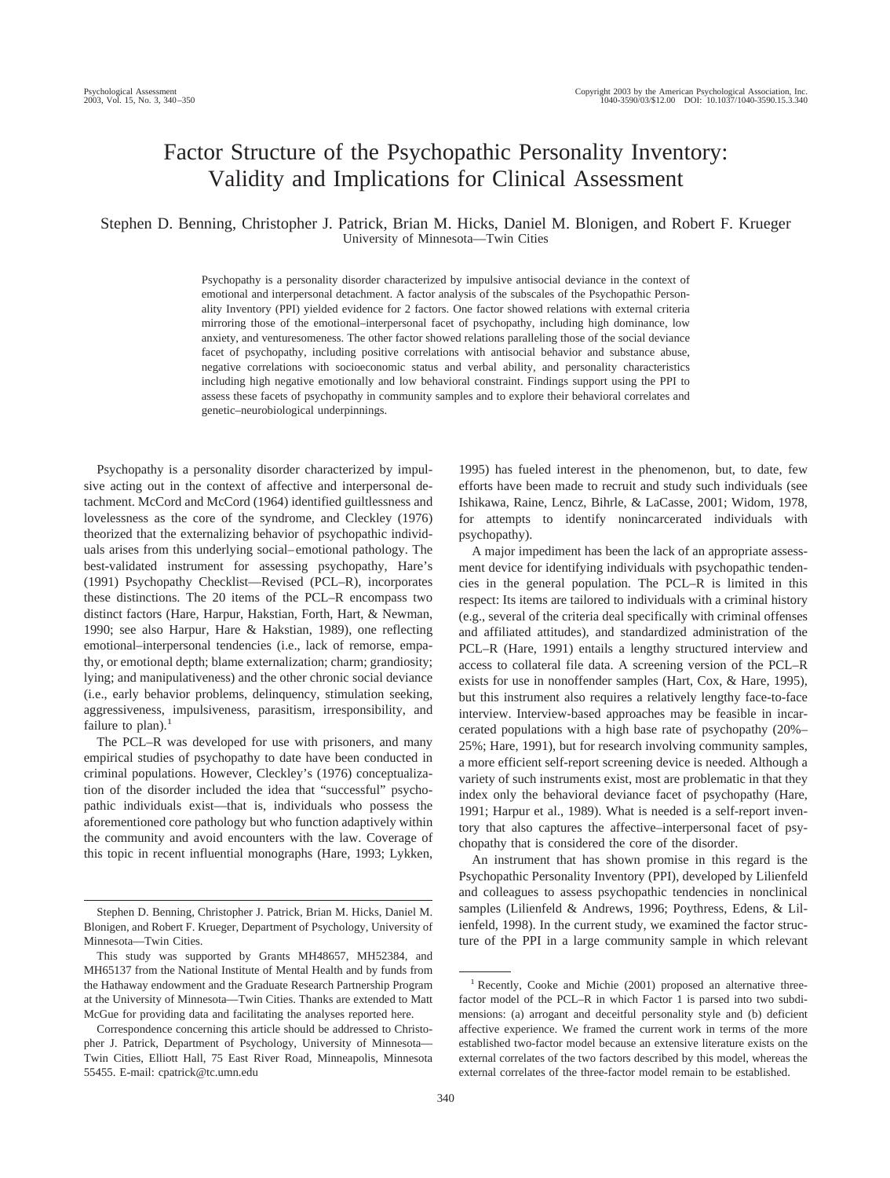# Factor Structure of the Psychopathic Personality Inventory: Validity and Implications for Clinical Assessment

# Stephen D. Benning, Christopher J. Patrick, Brian M. Hicks, Daniel M. Blonigen, and Robert F. Krueger University of Minnesota—Twin Cities

Psychopathy is a personality disorder characterized by impulsive antisocial deviance in the context of emotional and interpersonal detachment. A factor analysis of the subscales of the Psychopathic Personality Inventory (PPI) yielded evidence for 2 factors. One factor showed relations with external criteria mirroring those of the emotional–interpersonal facet of psychopathy, including high dominance, low anxiety, and venturesomeness. The other factor showed relations paralleling those of the social deviance facet of psychopathy, including positive correlations with antisocial behavior and substance abuse, negative correlations with socioeconomic status and verbal ability, and personality characteristics including high negative emotionally and low behavioral constraint. Findings support using the PPI to assess these facets of psychopathy in community samples and to explore their behavioral correlates and genetic–neurobiological underpinnings.

Psychopathy is a personality disorder characterized by impulsive acting out in the context of affective and interpersonal detachment. McCord and McCord (1964) identified guiltlessness and lovelessness as the core of the syndrome, and Cleckley (1976) theorized that the externalizing behavior of psychopathic individuals arises from this underlying social–emotional pathology. The best-validated instrument for assessing psychopathy, Hare's (1991) Psychopathy Checklist—Revised (PCL–R), incorporates these distinctions. The 20 items of the PCL–R encompass two distinct factors (Hare, Harpur, Hakstian, Forth, Hart, & Newman, 1990; see also Harpur, Hare & Hakstian, 1989), one reflecting emotional–interpersonal tendencies (i.e., lack of remorse, empathy, or emotional depth; blame externalization; charm; grandiosity; lying; and manipulativeness) and the other chronic social deviance (i.e., early behavior problems, delinquency, stimulation seeking, aggressiveness, impulsiveness, parasitism, irresponsibility, and failure to plan). $<sup>1</sup>$ </sup>

The PCL–R was developed for use with prisoners, and many empirical studies of psychopathy to date have been conducted in criminal populations. However, Cleckley's (1976) conceptualization of the disorder included the idea that "successful" psychopathic individuals exist—that is, individuals who possess the aforementioned core pathology but who function adaptively within the community and avoid encounters with the law. Coverage of this topic in recent influential monographs (Hare, 1993; Lykken,

Correspondence concerning this article should be addressed to Christopher J. Patrick, Department of Psychology, University of Minnesota— Twin Cities, Elliott Hall, 75 East River Road, Minneapolis, Minnesota 55455. E-mail: cpatrick@tc.umn.edu

1995) has fueled interest in the phenomenon, but, to date, few efforts have been made to recruit and study such individuals (see Ishikawa, Raine, Lencz, Bihrle, & LaCasse, 2001; Widom, 1978, for attempts to identify nonincarcerated individuals with psychopathy).

A major impediment has been the lack of an appropriate assessment device for identifying individuals with psychopathic tendencies in the general population. The PCL–R is limited in this respect: Its items are tailored to individuals with a criminal history (e.g., several of the criteria deal specifically with criminal offenses and affiliated attitudes), and standardized administration of the PCL–R (Hare, 1991) entails a lengthy structured interview and access to collateral file data. A screening version of the PCL–R exists for use in nonoffender samples (Hart, Cox, & Hare, 1995), but this instrument also requires a relatively lengthy face-to-face interview. Interview-based approaches may be feasible in incarcerated populations with a high base rate of psychopathy (20%– 25%; Hare, 1991), but for research involving community samples, a more efficient self-report screening device is needed. Although a variety of such instruments exist, most are problematic in that they index only the behavioral deviance facet of psychopathy (Hare, 1991; Harpur et al., 1989). What is needed is a self-report inventory that also captures the affective–interpersonal facet of psychopathy that is considered the core of the disorder.

An instrument that has shown promise in this regard is the Psychopathic Personality Inventory (PPI), developed by Lilienfeld and colleagues to assess psychopathic tendencies in nonclinical samples (Lilienfeld & Andrews, 1996; Poythress, Edens, & Lilienfeld, 1998). In the current study, we examined the factor structure of the PPI in a large community sample in which relevant

Stephen D. Benning, Christopher J. Patrick, Brian M. Hicks, Daniel M. Blonigen, and Robert F. Krueger, Department of Psychology, University of Minnesota—Twin Cities.

This study was supported by Grants MH48657, MH52384, and MH65137 from the National Institute of Mental Health and by funds from the Hathaway endowment and the Graduate Research Partnership Program at the University of Minnesota—Twin Cities. Thanks are extended to Matt McGue for providing data and facilitating the analyses reported here.

<sup>&</sup>lt;sup>1</sup> Recently, Cooke and Michie (2001) proposed an alternative threefactor model of the PCL–R in which Factor 1 is parsed into two subdimensions: (a) arrogant and deceitful personality style and (b) deficient affective experience. We framed the current work in terms of the more established two-factor model because an extensive literature exists on the external correlates of the two factors described by this model, whereas the external correlates of the three-factor model remain to be established.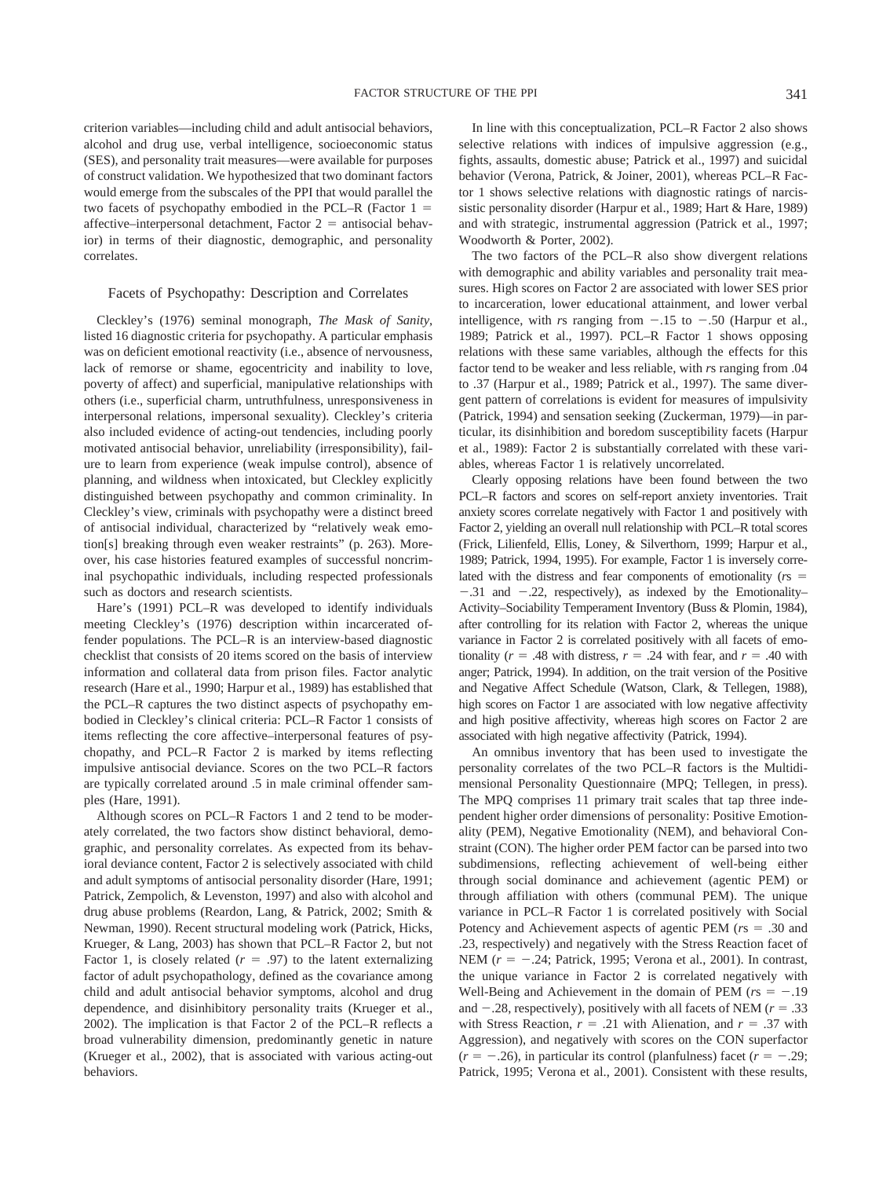criterion variables—including child and adult antisocial behaviors, alcohol and drug use, verbal intelligence, socioeconomic status (SES), and personality trait measures—were available for purposes of construct validation. We hypothesized that two dominant factors would emerge from the subscales of the PPI that would parallel the two facets of psychopathy embodied in the PCL–R (Factor  $1 =$ affective–interpersonal detachment, Factor  $2 =$  antisocial behavior) in terms of their diagnostic, demographic, and personality correlates.

#### Facets of Psychopathy: Description and Correlates

Cleckley's (1976) seminal monograph, *The Mask of Sanity*, listed 16 diagnostic criteria for psychopathy. A particular emphasis was on deficient emotional reactivity (i.e., absence of nervousness, lack of remorse or shame, egocentricity and inability to love, poverty of affect) and superficial, manipulative relationships with others (i.e., superficial charm, untruthfulness, unresponsiveness in interpersonal relations, impersonal sexuality). Cleckley's criteria also included evidence of acting-out tendencies, including poorly motivated antisocial behavior, unreliability (irresponsibility), failure to learn from experience (weak impulse control), absence of planning, and wildness when intoxicated, but Cleckley explicitly distinguished between psychopathy and common criminality. In Cleckley's view, criminals with psychopathy were a distinct breed of antisocial individual, characterized by "relatively weak emotion[s] breaking through even weaker restraints" (p. 263). Moreover, his case histories featured examples of successful noncriminal psychopathic individuals, including respected professionals such as doctors and research scientists.

Hare's (1991) PCL–R was developed to identify individuals meeting Cleckley's (1976) description within incarcerated offender populations. The PCL–R is an interview-based diagnostic checklist that consists of 20 items scored on the basis of interview information and collateral data from prison files. Factor analytic research (Hare et al., 1990; Harpur et al., 1989) has established that the PCL–R captures the two distinct aspects of psychopathy embodied in Cleckley's clinical criteria: PCL–R Factor 1 consists of items reflecting the core affective–interpersonal features of psychopathy, and PCL–R Factor 2 is marked by items reflecting impulsive antisocial deviance. Scores on the two PCL–R factors are typically correlated around .5 in male criminal offender samples (Hare, 1991).

Although scores on PCL–R Factors 1 and 2 tend to be moderately correlated, the two factors show distinct behavioral, demographic, and personality correlates. As expected from its behavioral deviance content, Factor 2 is selectively associated with child and adult symptoms of antisocial personality disorder (Hare, 1991; Patrick, Zempolich, & Levenston, 1997) and also with alcohol and drug abuse problems (Reardon, Lang, & Patrick, 2002; Smith & Newman, 1990). Recent structural modeling work (Patrick, Hicks, Krueger, & Lang, 2003) has shown that PCL–R Factor 2, but not Factor 1, is closely related  $(r = .97)$  to the latent externalizing factor of adult psychopathology, defined as the covariance among child and adult antisocial behavior symptoms, alcohol and drug dependence, and disinhibitory personality traits (Krueger et al., 2002). The implication is that Factor 2 of the PCL–R reflects a broad vulnerability dimension, predominantly genetic in nature (Krueger et al., 2002), that is associated with various acting-out behaviors.

In line with this conceptualization, PCL–R Factor 2 also shows selective relations with indices of impulsive aggression (e.g., fights, assaults, domestic abuse; Patrick et al., 1997) and suicidal behavior (Verona, Patrick, & Joiner, 2001), whereas PCL–R Factor 1 shows selective relations with diagnostic ratings of narcissistic personality disorder (Harpur et al., 1989; Hart & Hare, 1989) and with strategic, instrumental aggression (Patrick et al., 1997; Woodworth & Porter, 2002).

The two factors of the PCL–R also show divergent relations with demographic and ability variables and personality trait measures. High scores on Factor 2 are associated with lower SES prior to incarceration, lower educational attainment, and lower verbal intelligence, with *rs* ranging from  $-.15$  to  $-.50$  (Harpur et al., 1989; Patrick et al., 1997). PCL–R Factor 1 shows opposing relations with these same variables, although the effects for this factor tend to be weaker and less reliable, with *r*s ranging from .04 to .37 (Harpur et al., 1989; Patrick et al., 1997). The same divergent pattern of correlations is evident for measures of impulsivity (Patrick, 1994) and sensation seeking (Zuckerman, 1979)—in particular, its disinhibition and boredom susceptibility facets (Harpur et al., 1989): Factor 2 is substantially correlated with these variables, whereas Factor 1 is relatively uncorrelated.

Clearly opposing relations have been found between the two PCL–R factors and scores on self-report anxiety inventories. Trait anxiety scores correlate negatively with Factor 1 and positively with Factor 2, yielding an overall null relationship with PCL–R total scores (Frick, Lilienfeld, Ellis, Loney, & Silverthorn, 1999; Harpur et al., 1989; Patrick, 1994, 1995). For example, Factor 1 is inversely correlated with the distress and fear components of emotionality (*r*s  $-0.31$  and  $-0.22$ , respectively), as indexed by the Emotionality-Activity–Sociability Temperament Inventory (Buss & Plomin, 1984), after controlling for its relation with Factor 2, whereas the unique variance in Factor 2 is correlated positively with all facets of emotionality ( $r = .48$  with distress,  $r = .24$  with fear, and  $r = .40$  with anger; Patrick, 1994). In addition, on the trait version of the Positive and Negative Affect Schedule (Watson, Clark, & Tellegen, 1988), high scores on Factor 1 are associated with low negative affectivity and high positive affectivity, whereas high scores on Factor 2 are associated with high negative affectivity (Patrick, 1994).

An omnibus inventory that has been used to investigate the personality correlates of the two PCL–R factors is the Multidimensional Personality Questionnaire (MPQ; Tellegen, in press). The MPQ comprises 11 primary trait scales that tap three independent higher order dimensions of personality: Positive Emotionality (PEM), Negative Emotionality (NEM), and behavioral Constraint (CON). The higher order PEM factor can be parsed into two subdimensions, reflecting achievement of well-being either through social dominance and achievement (agentic PEM) or through affiliation with others (communal PEM). The unique variance in PCL–R Factor 1 is correlated positively with Social Potency and Achievement aspects of agentic PEM  $(rs = .30$  and .23, respectively) and negatively with the Stress Reaction facet of NEM ( $r = -.24$ ; Patrick, 1995; Verona et al., 2001). In contrast, the unique variance in Factor 2 is correlated negatively with Well-Being and Achievement in the domain of PEM  $(rs = -.19)$ and  $-.28$ , respectively), positively with all facets of NEM ( $r = .33$ ) with Stress Reaction,  $r = .21$  with Alienation, and  $r = .37$  with Aggression), and negatively with scores on the CON superfactor  $(r = -.26)$ , in particular its control (planfulness) facet  $(r = -.29)$ ; Patrick, 1995; Verona et al., 2001). Consistent with these results,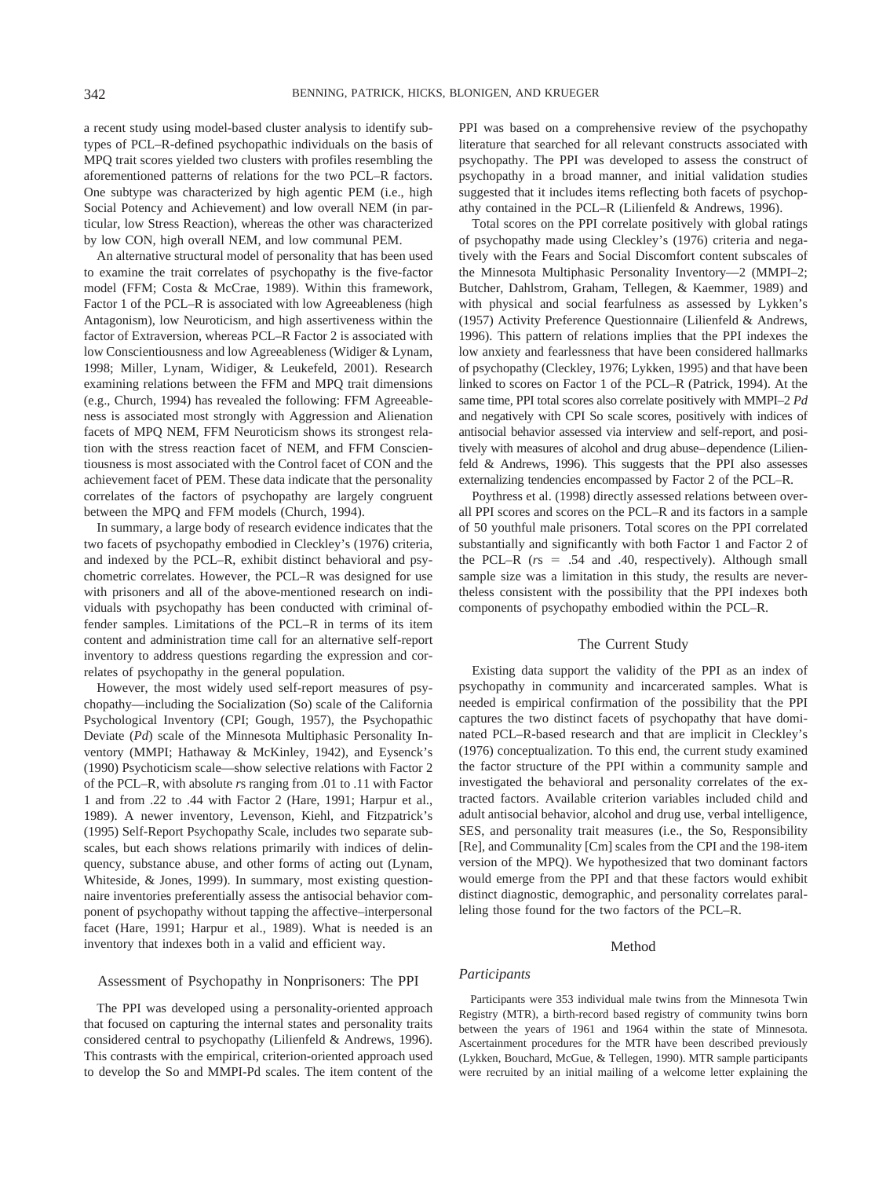a recent study using model-based cluster analysis to identify subtypes of PCL–R-defined psychopathic individuals on the basis of MPQ trait scores yielded two clusters with profiles resembling the aforementioned patterns of relations for the two PCL–R factors. One subtype was characterized by high agentic PEM (i.e., high Social Potency and Achievement) and low overall NEM (in particular, low Stress Reaction), whereas the other was characterized by low CON, high overall NEM, and low communal PEM.

An alternative structural model of personality that has been used to examine the trait correlates of psychopathy is the five-factor model (FFM; Costa & McCrae, 1989). Within this framework, Factor 1 of the PCL–R is associated with low Agreeableness (high Antagonism), low Neuroticism, and high assertiveness within the factor of Extraversion, whereas PCL–R Factor 2 is associated with low Conscientiousness and low Agreeableness (Widiger & Lynam, 1998; Miller, Lynam, Widiger, & Leukefeld, 2001). Research examining relations between the FFM and MPQ trait dimensions (e.g., Church, 1994) has revealed the following: FFM Agreeableness is associated most strongly with Aggression and Alienation facets of MPQ NEM, FFM Neuroticism shows its strongest relation with the stress reaction facet of NEM, and FFM Conscientiousness is most associated with the Control facet of CON and the achievement facet of PEM. These data indicate that the personality correlates of the factors of psychopathy are largely congruent between the MPQ and FFM models (Church, 1994).

In summary, a large body of research evidence indicates that the two facets of psychopathy embodied in Cleckley's (1976) criteria, and indexed by the PCL–R, exhibit distinct behavioral and psychometric correlates. However, the PCL–R was designed for use with prisoners and all of the above-mentioned research on individuals with psychopathy has been conducted with criminal offender samples. Limitations of the PCL–R in terms of its item content and administration time call for an alternative self-report inventory to address questions regarding the expression and correlates of psychopathy in the general population.

However, the most widely used self-report measures of psychopathy—including the Socialization (So) scale of the California Psychological Inventory (CPI; Gough, 1957), the Psychopathic Deviate (*Pd*) scale of the Minnesota Multiphasic Personality Inventory (MMPI; Hathaway & McKinley, 1942), and Eysenck's (1990) Psychoticism scale—show selective relations with Factor 2 of the PCL–R, with absolute *r*s ranging from .01 to .11 with Factor 1 and from .22 to .44 with Factor 2 (Hare, 1991; Harpur et al., 1989). A newer inventory, Levenson, Kiehl, and Fitzpatrick's (1995) Self-Report Psychopathy Scale, includes two separate subscales, but each shows relations primarily with indices of delinquency, substance abuse, and other forms of acting out (Lynam, Whiteside, & Jones, 1999). In summary, most existing questionnaire inventories preferentially assess the antisocial behavior component of psychopathy without tapping the affective–interpersonal facet (Hare, 1991; Harpur et al., 1989). What is needed is an inventory that indexes both in a valid and efficient way.

#### Assessment of Psychopathy in Nonprisoners: The PPI

The PPI was developed using a personality-oriented approach that focused on capturing the internal states and personality traits considered central to psychopathy (Lilienfeld & Andrews, 1996). This contrasts with the empirical, criterion-oriented approach used to develop the So and MMPI-Pd scales. The item content of the PPI was based on a comprehensive review of the psychopathy literature that searched for all relevant constructs associated with psychopathy. The PPI was developed to assess the construct of psychopathy in a broad manner, and initial validation studies suggested that it includes items reflecting both facets of psychopathy contained in the PCL–R (Lilienfeld & Andrews, 1996).

Total scores on the PPI correlate positively with global ratings of psychopathy made using Cleckley's (1976) criteria and negatively with the Fears and Social Discomfort content subscales of the Minnesota Multiphasic Personality Inventory—2 (MMPI–2; Butcher, Dahlstrom, Graham, Tellegen, & Kaemmer, 1989) and with physical and social fearfulness as assessed by Lykken's (1957) Activity Preference Questionnaire (Lilienfeld & Andrews, 1996). This pattern of relations implies that the PPI indexes the low anxiety and fearlessness that have been considered hallmarks of psychopathy (Cleckley, 1976; Lykken, 1995) and that have been linked to scores on Factor 1 of the PCL–R (Patrick, 1994). At the same time, PPI total scores also correlate positively with MMPI–2 *Pd* and negatively with CPI So scale scores, positively with indices of antisocial behavior assessed via interview and self-report, and positively with measures of alcohol and drug abuse–dependence (Lilienfeld & Andrews, 1996). This suggests that the PPI also assesses externalizing tendencies encompassed by Factor 2 of the PCL–R.

Poythress et al. (1998) directly assessed relations between overall PPI scores and scores on the PCL–R and its factors in a sample of 50 youthful male prisoners. Total scores on the PPI correlated substantially and significantly with both Factor 1 and Factor 2 of the PCL–R  $(rs = .54$  and .40, respectively). Although small sample size was a limitation in this study, the results are nevertheless consistent with the possibility that the PPI indexes both components of psychopathy embodied within the PCL–R.

#### The Current Study

Existing data support the validity of the PPI as an index of psychopathy in community and incarcerated samples. What is needed is empirical confirmation of the possibility that the PPI captures the two distinct facets of psychopathy that have dominated PCL–R-based research and that are implicit in Cleckley's (1976) conceptualization. To this end, the current study examined the factor structure of the PPI within a community sample and investigated the behavioral and personality correlates of the extracted factors. Available criterion variables included child and adult antisocial behavior, alcohol and drug use, verbal intelligence, SES, and personality trait measures (i.e., the So, Responsibility [Re], and Communality [Cm] scales from the CPI and the 198-item version of the MPQ). We hypothesized that two dominant factors would emerge from the PPI and that these factors would exhibit distinct diagnostic, demographic, and personality correlates paralleling those found for the two factors of the PCL–R.

#### Method

# *Participants*

Participants were 353 individual male twins from the Minnesota Twin Registry (MTR), a birth-record based registry of community twins born between the years of 1961 and 1964 within the state of Minnesota. Ascertainment procedures for the MTR have been described previously (Lykken, Bouchard, McGue, & Tellegen, 1990). MTR sample participants were recruited by an initial mailing of a welcome letter explaining the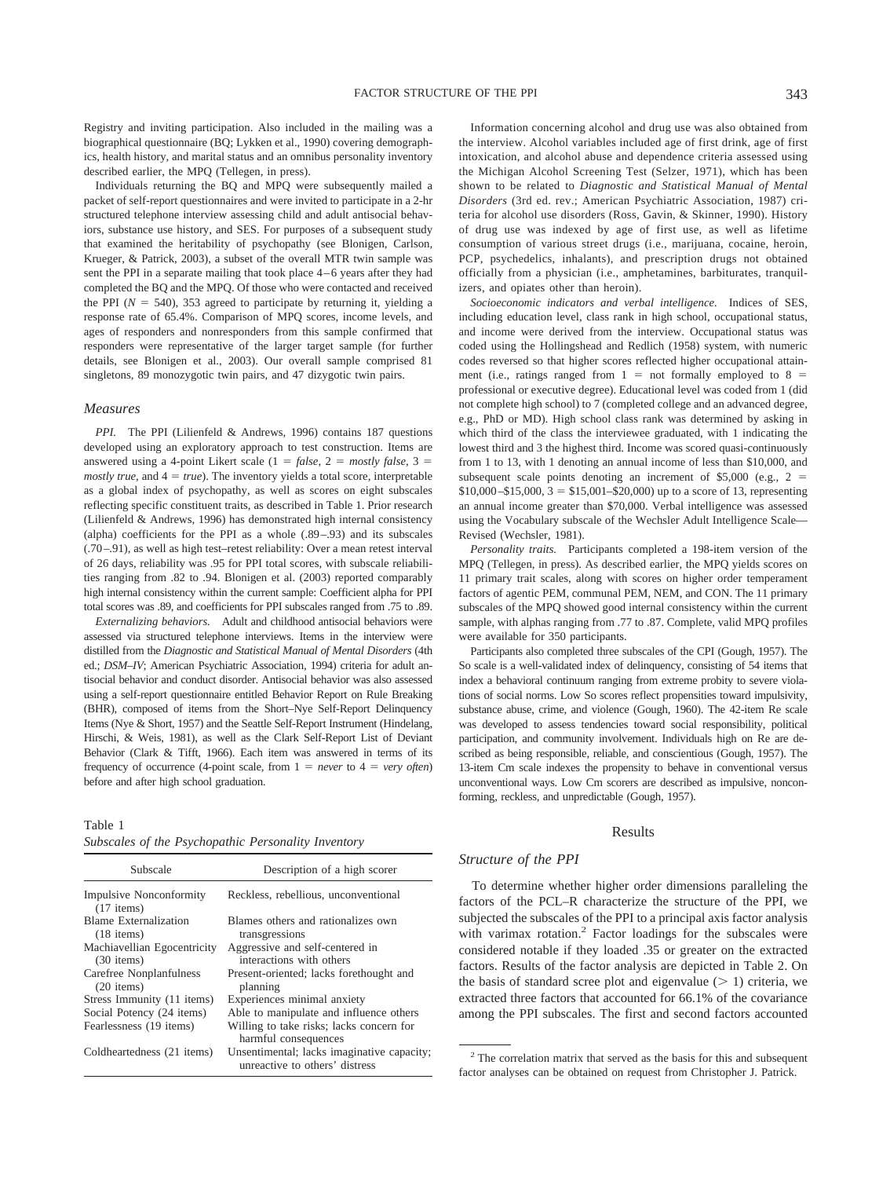Registry and inviting participation. Also included in the mailing was a biographical questionnaire (BQ; Lykken et al., 1990) covering demographics, health history, and marital status and an omnibus personality inventory described earlier, the MPQ (Tellegen, in press).

Individuals returning the BQ and MPQ were subsequently mailed a packet of self-report questionnaires and were invited to participate in a 2-hr structured telephone interview assessing child and adult antisocial behaviors, substance use history, and SES. For purposes of a subsequent study that examined the heritability of psychopathy (see Blonigen, Carlson, Krueger, & Patrick, 2003), a subset of the overall MTR twin sample was sent the PPI in a separate mailing that took place 4–6 years after they had completed the BQ and the MPQ. Of those who were contacted and received the PPI  $(N = 540)$ , 353 agreed to participate by returning it, yielding a response rate of 65.4%. Comparison of MPQ scores, income levels, and ages of responders and nonresponders from this sample confirmed that responders were representative of the larger target sample (for further details, see Blonigen et al., 2003). Our overall sample comprised 81 singletons, 89 monozygotic twin pairs, and 47 dizygotic twin pairs.

#### *Measures*

*PPI.* The PPI (Lilienfeld & Andrews, 1996) contains 187 questions developed using an exploratory approach to test construction. Items are answered using a 4-point Likert scale  $(1 = false, 2 = mostly false, 3 =$ *mostly true*, and  $4 = true$ ). The inventory yields a total score, interpretable as a global index of psychopathy, as well as scores on eight subscales reflecting specific constituent traits, as described in Table 1. Prior research (Lilienfeld & Andrews, 1996) has demonstrated high internal consistency (alpha) coefficients for the PPI as a whole (.89–.93) and its subscales (.70–.91), as well as high test–retest reliability: Over a mean retest interval of 26 days, reliability was .95 for PPI total scores, with subscale reliabilities ranging from .82 to .94. Blonigen et al. (2003) reported comparably high internal consistency within the current sample: Coefficient alpha for PPI total scores was .89, and coefficients for PPI subscales ranged from .75 to .89.

*Externalizing behaviors.* Adult and childhood antisocial behaviors were assessed via structured telephone interviews. Items in the interview were distilled from the *Diagnostic and Statistical Manual of Mental Disorders* (4th ed.; *DSM-IV*; American Psychiatric Association, 1994) criteria for adult antisocial behavior and conduct disorder. Antisocial behavior was also assessed using a self-report questionnaire entitled Behavior Report on Rule Breaking (BHR), composed of items from the Short–Nye Self-Report Delinquency Items (Nye & Short, 1957) and the Seattle Self-Report Instrument (Hindelang, Hirschi, & Weis, 1981), as well as the Clark Self-Report List of Deviant Behavior (Clark & Tifft, 1966). Each item was answered in terms of its frequency of occurrence (4-point scale, from  $1 = never$  to  $4 = very$  *often*) before and after high school graduation.

Table 1

|  |  | Subscales of the Psychopathic Personality Inventory |  |
|--|--|-----------------------------------------------------|--|
|  |  |                                                     |  |

| Subscale                                       | Description of a high scorer                                                 |  |  |
|------------------------------------------------|------------------------------------------------------------------------------|--|--|
| <b>Impulsive Nonconformity</b><br>$(17$ items) | Reckless, rebellious, unconventional                                         |  |  |
| <b>Blame Externalization</b><br>$(18$ items)   | Blames others and rationalizes own<br>transgressions                         |  |  |
| Machiavellian Egocentricity<br>$(30$ items)    | Aggressive and self-centered in<br>interactions with others                  |  |  |
| Carefree Nonplanfulness<br>$(20$ items)        | Present-oriented; lacks forethought and<br>planning                          |  |  |
| Stress Immunity (11 items)                     | Experiences minimal anxiety                                                  |  |  |
| Social Potency (24 items)                      | Able to manipulate and influence others                                      |  |  |
| Fearlessness (19 items)                        | Willing to take risks; lacks concern for<br>harmful consequences             |  |  |
| Coldheartedness (21 items)                     | Unsentimental; lacks imaginative capacity;<br>unreactive to others' distress |  |  |

Information concerning alcohol and drug use was also obtained from the interview. Alcohol variables included age of first drink, age of first intoxication, and alcohol abuse and dependence criteria assessed using the Michigan Alcohol Screening Test (Selzer, 1971), which has been shown to be related to *Diagnostic and Statistical Manual of Mental Disorders* (3rd ed. rev.; American Psychiatric Association, 1987) criteria for alcohol use disorders (Ross, Gavin, & Skinner, 1990). History of drug use was indexed by age of first use, as well as lifetime consumption of various street drugs (i.e., marijuana, cocaine, heroin, PCP, psychedelics, inhalants), and prescription drugs not obtained officially from a physician (i.e., amphetamines, barbiturates, tranquilizers, and opiates other than heroin).

*Socioeconomic indicators and verbal intelligence.* Indices of SES, including education level, class rank in high school, occupational status, and income were derived from the interview. Occupational status was coded using the Hollingshead and Redlich (1958) system, with numeric codes reversed so that higher scores reflected higher occupational attainment (i.e., ratings ranged from  $1 =$  not formally employed to  $8 =$ professional or executive degree). Educational level was coded from 1 (did not complete high school) to 7 (completed college and an advanced degree, e.g., PhD or MD). High school class rank was determined by asking in which third of the class the interviewee graduated, with 1 indicating the lowest third and 3 the highest third. Income was scored quasi-continuously from 1 to 13, with 1 denoting an annual income of less than \$10,000, and subsequent scale points denoting an increment of  $$5,000$  (e.g., 2 =  $$10,000 - $15,000, 3 = $15,001 - $20,000$  up to a score of 13, representing an annual income greater than \$70,000. Verbal intelligence was assessed using the Vocabulary subscale of the Wechsler Adult Intelligence Scale— Revised (Wechsler, 1981).

*Personality traits.* Participants completed a 198-item version of the MPQ (Tellegen, in press). As described earlier, the MPQ yields scores on 11 primary trait scales, along with scores on higher order temperament factors of agentic PEM, communal PEM, NEM, and CON. The 11 primary subscales of the MPQ showed good internal consistency within the current sample, with alphas ranging from .77 to .87. Complete, valid MPQ profiles were available for 350 participants.

Participants also completed three subscales of the CPI (Gough, 1957). The So scale is a well-validated index of delinquency, consisting of 54 items that index a behavioral continuum ranging from extreme probity to severe violations of social norms. Low So scores reflect propensities toward impulsivity, substance abuse, crime, and violence (Gough, 1960). The 42-item Re scale was developed to assess tendencies toward social responsibility, political participation, and community involvement. Individuals high on Re are described as being responsible, reliable, and conscientious (Gough, 1957). The 13-item Cm scale indexes the propensity to behave in conventional versus unconventional ways. Low Cm scorers are described as impulsive, nonconforming, reckless, and unpredictable (Gough, 1957).

#### Results

#### *Structure of the PPI*

To determine whether higher order dimensions paralleling the factors of the PCL–R characterize the structure of the PPI, we subjected the subscales of the PPI to a principal axis factor analysis with varimax rotation.<sup>2</sup> Factor loadings for the subscales were considered notable if they loaded .35 or greater on the extracted factors. Results of the factor analysis are depicted in Table 2. On the basis of standard scree plot and eigenvalue  $($   $>$  1) criteria, we extracted three factors that accounted for 66.1% of the covariance among the PPI subscales. The first and second factors accounted

 $2$ <sup>2</sup> The correlation matrix that served as the basis for this and subsequent factor analyses can be obtained on request from Christopher J. Patrick.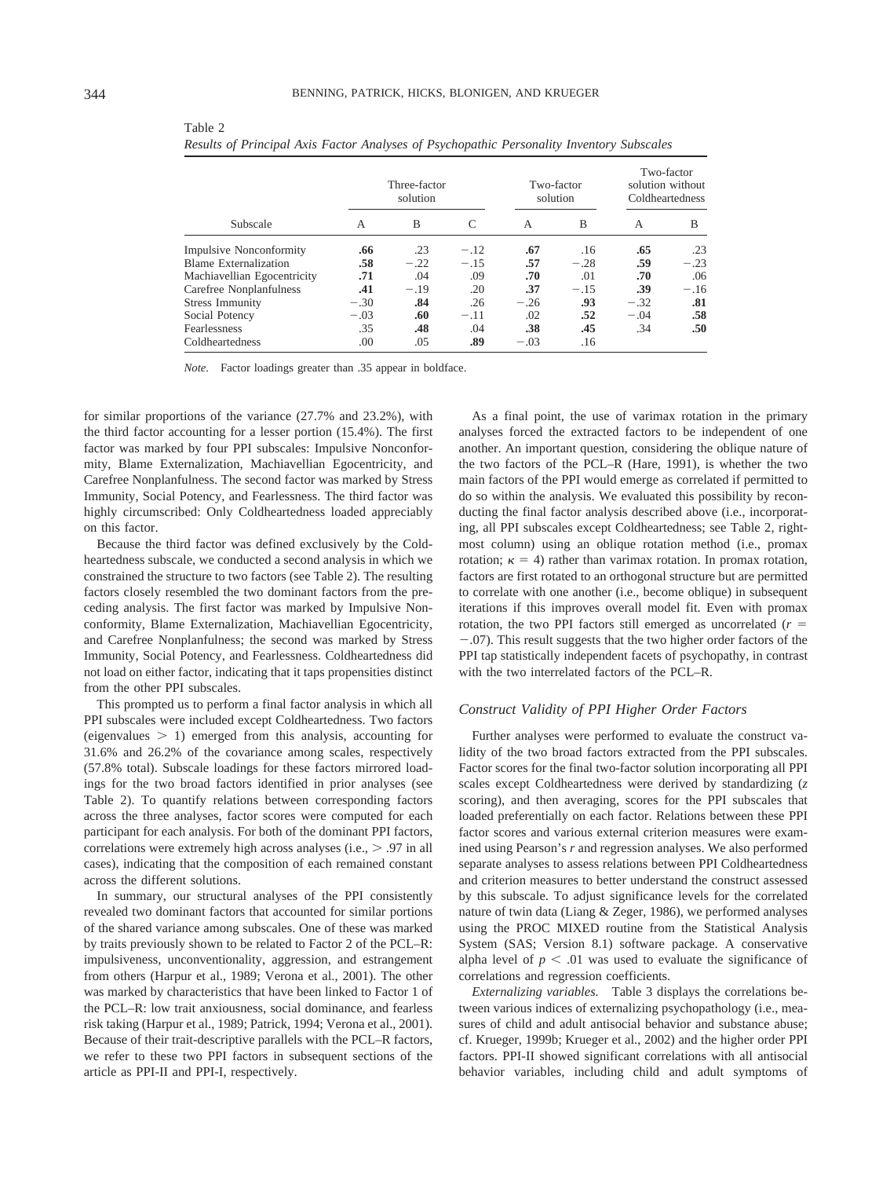| .344 |  |  |
|------|--|--|
|      |  |  |
|      |  |  |

Table 2

|                                | Three-factor<br>solution |        |        | Two-factor<br>solution |        | Two-factor<br>solution without<br>Coldheartedness |                  |
|--------------------------------|--------------------------|--------|--------|------------------------|--------|---------------------------------------------------|------------------|
| Subscale                       | A                        | B      | C      | A                      | B      | А                                                 | B                |
| <b>Impulsive Nonconformity</b> | .66                      | .23    | $-.12$ | .67                    | .16    | .65                                               | .23              |
| <b>Blame Externalization</b>   | .58                      | $-.22$ | $-.15$ | .57                    | $-.28$ | .59                                               | $-.23$           |
| Machiavellian Egocentricity    | .71                      | .04    | .09    | .70                    | .01    | .70                                               | .06              |
| Carefree Nonplanfulness        | .41                      | $-.19$ | .20    | .37                    | $-.15$ | .39                                               | $-.16$           |
| <b>Stress Immunity</b>         | $-.30$                   | .84    | .26    | $-.26$                 | .93    | $-.32$                                            | .81              |
| Social Potency                 | $-.03$                   | .60    | $-.11$ | .02                    | .52    | $-.04$                                            | .58              |
| Fearlessness                   | .35                      | .48    | .04    | .38                    | .45    | .34                                               | .50 <sub>1</sub> |
| Coldheartedness                | .00                      | .05    | .89    | $-.03$                 | .16    |                                                   |                  |

*Results of Principal Axis Factor Analyses of Psychopathic Personality Inventory Subscales*

*Note.* Factor loadings greater than .35 appear in boldface.

for similar proportions of the variance (27.7% and 23.2%), with the third factor accounting for a lesser portion (15.4%). The first factor was marked by four PPI subscales: Impulsive Nonconformity, Blame Externalization, Machiavellian Egocentricity, and Carefree Nonplanfulness. The second factor was marked by Stress Immunity, Social Potency, and Fearlessness. The third factor was highly circumscribed: Only Coldheartedness loaded appreciably on this factor.

Because the third factor was defined exclusively by the Coldheartedness subscale, we conducted a second analysis in which we constrained the structure to two factors (see Table 2). The resulting factors closely resembled the two dominant factors from the preceding analysis. The first factor was marked by Impulsive Nonconformity, Blame Externalization, Machiavellian Egocentricity, and Carefree Nonplanfulness; the second was marked by Stress Immunity, Social Potency, and Fearlessness. Coldheartedness did not load on either factor, indicating that it taps propensities distinct from the other PPI subscales.

This prompted us to perform a final factor analysis in which all PPI subscales were included except Coldheartedness. Two factors (eigenvalues  $> 1$ ) emerged from this analysis, accounting for 31.6% and 26.2% of the covariance among scales, respectively (57.8% total). Subscale loadings for these factors mirrored loadings for the two broad factors identified in prior analyses (see Table 2). To quantify relations between corresponding factors across the three analyses, factor scores were computed for each participant for each analysis. For both of the dominant PPI factors, correlations were extremely high across analyses (i.e.,  $> .97$  in all cases), indicating that the composition of each remained constant across the different solutions.

In summary, our structural analyses of the PPI consistently revealed two dominant factors that accounted for similar portions of the shared variance among subscales. One of these was marked by traits previously shown to be related to Factor 2 of the PCL–R: impulsiveness, unconventionality, aggression, and estrangement from others (Harpur et al., 1989; Verona et al., 2001). The other was marked by characteristics that have been linked to Factor 1 of the PCL–R: low trait anxiousness, social dominance, and fearless risk taking (Harpur et al., 1989; Patrick, 1994; Verona et al., 2001). Because of their trait-descriptive parallels with the PCL–R factors, we refer to these two PPI factors in subsequent sections of the article as PPI-II and PPI-I, respectively.

As a final point, the use of varimax rotation in the primary analyses forced the extracted factors to be independent of one another. An important question, considering the oblique nature of the two factors of the PCL–R (Hare, 1991), is whether the two main factors of the PPI would emerge as correlated if permitted to do so within the analysis. We evaluated this possibility by reconducting the final factor analysis described above (i.e., incorporating, all PPI subscales except Coldheartedness; see Table 2, rightmost column) using an oblique rotation method (i.e., promax rotation;  $\kappa = 4$ ) rather than varimax rotation. In promax rotation, factors are first rotated to an orthogonal structure but are permitted to correlate with one another (i.e., become oblique) in subsequent iterations if this improves overall model fit. Even with promax rotation, the two PPI factors still emerged as uncorrelated (*r* -.07). This result suggests that the two higher order factors of the PPI tap statistically independent facets of psychopathy, in contrast with the two interrelated factors of the PCL–R.

# *Construct Validity of PPI Higher Order Factors*

Further analyses were performed to evaluate the construct validity of the two broad factors extracted from the PPI subscales. Factor scores for the final two-factor solution incorporating all PPI scales except Coldheartedness were derived by standardizing (*z* scoring), and then averaging, scores for the PPI subscales that loaded preferentially on each factor. Relations between these PPI factor scores and various external criterion measures were examined using Pearson's *r* and regression analyses. We also performed separate analyses to assess relations between PPI Coldheartedness and criterion measures to better understand the construct assessed by this subscale. To adjust significance levels for the correlated nature of twin data (Liang & Zeger, 1986), we performed analyses using the PROC MIXED routine from the Statistical Analysis System (SAS; Version 8.1) software package. A conservative alpha level of  $p < .01$  was used to evaluate the significance of correlations and regression coefficients.

*Externalizing variables.* Table 3 displays the correlations between various indices of externalizing psychopathology (i.e., measures of child and adult antisocial behavior and substance abuse; cf. Krueger, 1999b; Krueger et al., 2002) and the higher order PPI factors. PPI-II showed significant correlations with all antisocial behavior variables, including child and adult symptoms of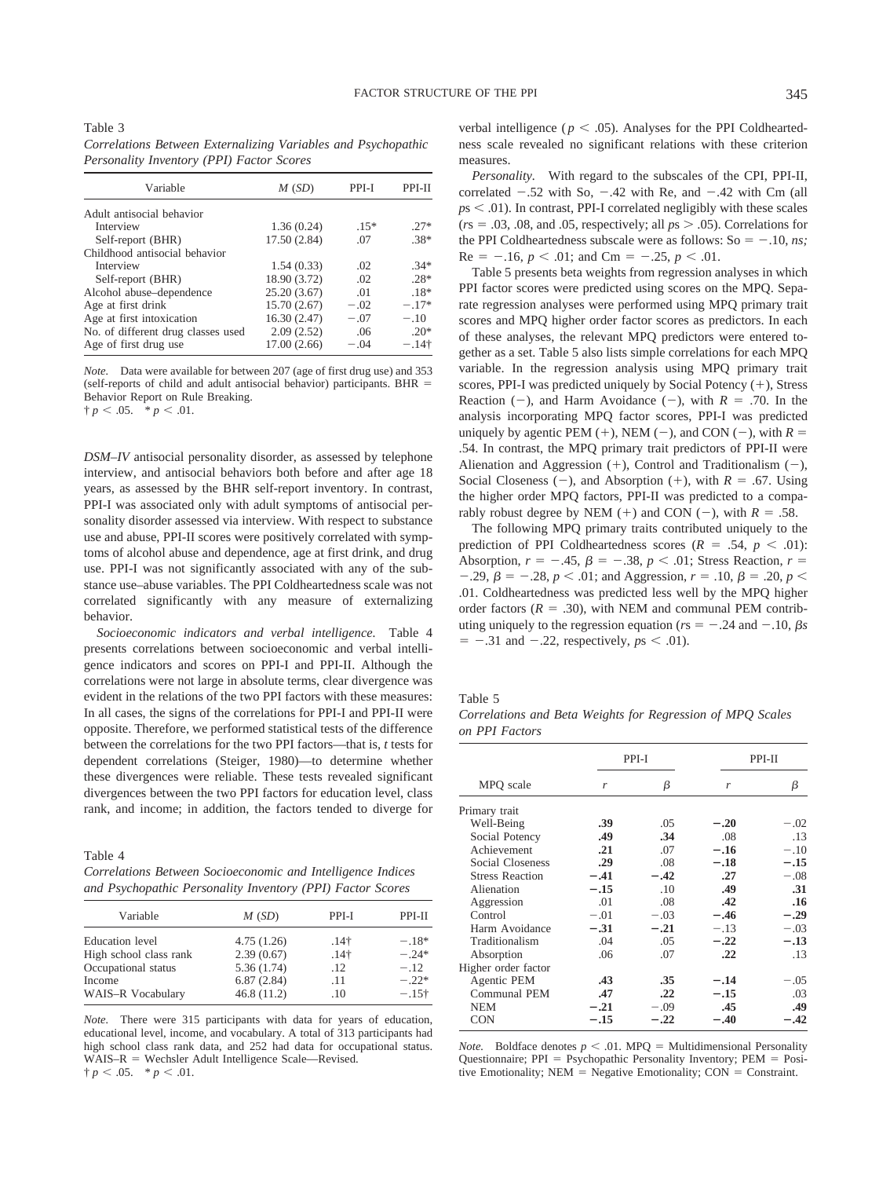Table 3 *Correlations Between Externalizing Variables and Psychopathic Personality Inventory (PPI) Factor Scores*

| M(SD)        | PPI-I  | PPI-II  |
|--------------|--------|---------|
|              |        |         |
| 1.36(0.24)   | $.15*$ | $.27*$  |
| 17.50 (2.84) | .07    | $.38*$  |
|              |        |         |
| 1.54(0.33)   | .02    | $.34*$  |
| 18.90 (3.72) | .02    | $28*$   |
| 25.20(3.67)  | .01    | $.18*$  |
| 15.70(2.67)  | $-.02$ | $-.17*$ |
| 16.30 (2.47) | $-.07$ | $-.10$  |
| 2.09(2.52)   | .06    | $20*$   |
| 17.00(2.66)  | $-.04$ | $-.14†$ |
|              |        |         |

*Note.* Data were available for between 207 (age of first drug use) and 353 (self-reports of child and adult antisocial behavior) participants. BHR Behavior Report on Rule Breaking.

 $\dagger p < .05.$   $\ast p < .01.$ 

*DSM–IV* antisocial personality disorder, as assessed by telephone interview, and antisocial behaviors both before and after age 18 years, as assessed by the BHR self-report inventory. In contrast, PPI-I was associated only with adult symptoms of antisocial personality disorder assessed via interview. With respect to substance use and abuse, PPI-II scores were positively correlated with symptoms of alcohol abuse and dependence, age at first drink, and drug use. PPI-I was not significantly associated with any of the substance use–abuse variables. The PPI Coldheartedness scale was not correlated significantly with any measure of externalizing behavior.

*Socioeconomic indicators and verbal intelligence.* Table 4 presents correlations between socioeconomic and verbal intelligence indicators and scores on PPI-I and PPI-II. Although the correlations were not large in absolute terms, clear divergence was evident in the relations of the two PPI factors with these measures: In all cases, the signs of the correlations for PPI-I and PPI-II were opposite. Therefore, we performed statistical tests of the difference between the correlations for the two PPI factors—that is, *t* tests for dependent correlations (Steiger, 1980)—to determine whether these divergences were reliable. These tests revealed significant divergences between the two PPI factors for education level, class rank, and income; in addition, the factors tended to diverge for

Table 4 *Correlations Between Socioeconomic and Intelligence Indices and Psychopathic Personality Inventory (PPI) Factor Scores*

| Variable               | M(SD)      | PPI-I            | PPI-II  |  |
|------------------------|------------|------------------|---------|--|
| <b>Education</b> level | 4.75(1.26) | .14 <sup>†</sup> | $-.18*$ |  |
| High school class rank | 2.39(0.67) | .14 <sup>†</sup> | $-24*$  |  |
| Occupational status    | 5.36(1.74) | .12              | $-.12$  |  |
| Income                 | 6.87(2.84) | .11              | $-.22*$ |  |
| WAIS-R Vocabulary      | 46.8(11.2) | .10              | $-.15+$ |  |

*Note.* There were 315 participants with data for years of education, educational level, income, and vocabulary. A total of 313 participants had high school class rank data, and 252 had data for occupational status.  $WAIS-R = Wechsler Adult Intelligence Scale—Revised.$  $\dagger p < .05.$  \*  $p < .01.$ 

verbal intelligence ( $p < .05$ ). Analyses for the PPI Coldheartedness scale revealed no significant relations with these criterion measures.

*Personality.* With regard to the subscales of the CPI, PPI-II, correlated  $-.52$  with So,  $-.42$  with Re, and  $-.42$  with Cm (all  $p<sub>5</sub> < 0.01$ ). In contrast, PPI-I correlated negligibly with these scales  $(r_s = .03, .08, \text{ and } .05, \text{ respectively; all } ps > .05)$ . Correlations for the PPI Coldheartedness subscale were as follows:  $So = -.10$ , *ns*;  $Re = -.16, p < .01;$  and  $Cm = -.25, p < .01$ .

Table 5 presents beta weights from regression analyses in which PPI factor scores were predicted using scores on the MPQ. Separate regression analyses were performed using MPQ primary trait scores and MPQ higher order factor scores as predictors. In each of these analyses, the relevant MPQ predictors were entered together as a set. Table 5 also lists simple correlations for each MPQ variable. In the regression analysis using MPQ primary trait scores, PPI-I was predicted uniquely by Social Potency  $(+)$ , Stress Reaction  $(-)$ , and Harm Avoidance  $(-)$ , with  $R = .70$ . In the analysis incorporating MPQ factor scores, PPI-I was predicted uniquely by agentic PEM  $(+)$ , NEM  $(-)$ , and CON  $(-)$ , with  $R =$ .54. In contrast, the MPQ primary trait predictors of PPI-II were Alienation and Aggression  $(+)$ , Control and Traditionalism  $(-)$ , Social Closeness (-), and Absorption (+), with  $R = .67$ . Using the higher order MPQ factors, PPI-II was predicted to a comparably robust degree by NEM  $(+)$  and CON  $(-)$ , with  $R = .58$ .

The following MPQ primary traits contributed uniquely to the prediction of PPI Coldheartedness scores  $(R = .54, p < .01)$ : Absorption,  $r = -.45$ ,  $\beta = -.38$ ,  $p < .01$ ; Stress Reaction,  $r =$  $-0.29, \beta = -0.28, p < 0.01$ ; and Aggression,  $r = 0.10, \beta = 0.20, p < 0.01$ ; .01. Coldheartedness was predicted less well by the MPQ higher order factors  $(R = .30)$ , with NEM and communal PEM contributing uniquely to the regression equation ( $rs = -.24$  and  $-.10$ ,  $\beta s$  $= -0.31$  and  $-.22$ , respectively,  $ps < .01$ ).

Table 5

*Correlations and Beta Weights for Regression of MPQ Scales on PPI Factors*

|                        |        | PPI-I  |        | PPI-II |
|------------------------|--------|--------|--------|--------|
| MPQ scale              | r      | β      | r      | β      |
| Primary trait          |        |        |        |        |
| Well-Being             | .39    | .05    | $-.20$ | $-.02$ |
| Social Potency         | .49    | .34    | .08    | .13    |
| Achievement            | .21    | .07    | $-.16$ | $-.10$ |
| Social Closeness       | .29    | .08    | $-.18$ | $-.15$ |
| <b>Stress Reaction</b> | $-.41$ | $-.42$ | .27    | $-.08$ |
| Alienation             | $-.15$ | .10    | .49    | .31    |
| Aggression             | .01    | .08    | .42    | .16    |
| Control                | $-.01$ | $-.03$ | $-.46$ | $-.29$ |
| Harm Avoidance         | $-.31$ | $-.21$ | $-.13$ | $-.03$ |
| Traditionalism         | .04    | .05    | $-.22$ | $-.13$ |
| Absorption             | .06    | .07    | .22    | .13    |
| Higher order factor    |        |        |        |        |
| Agentic PEM            | .43    | .35    | $-.14$ | $-.05$ |
| Communal PEM           | .47    | .22    | $-.15$ | .03    |
| <b>NEM</b>             | $-.21$ | $-.09$ | .45    | .49    |
| <b>CON</b>             | $-.15$ | $-.22$ | $-.40$ | $-.42$ |
|                        |        |        |        |        |

*Note.* Boldface denotes  $p < .01$ . MPQ = Multidimensional Personality Questionnaire; PPI = Psychopathic Personality Inventory; PEM = Positive Emotionality;  $NEM = Negative Emotionality$ ;  $CON = Constraint$ .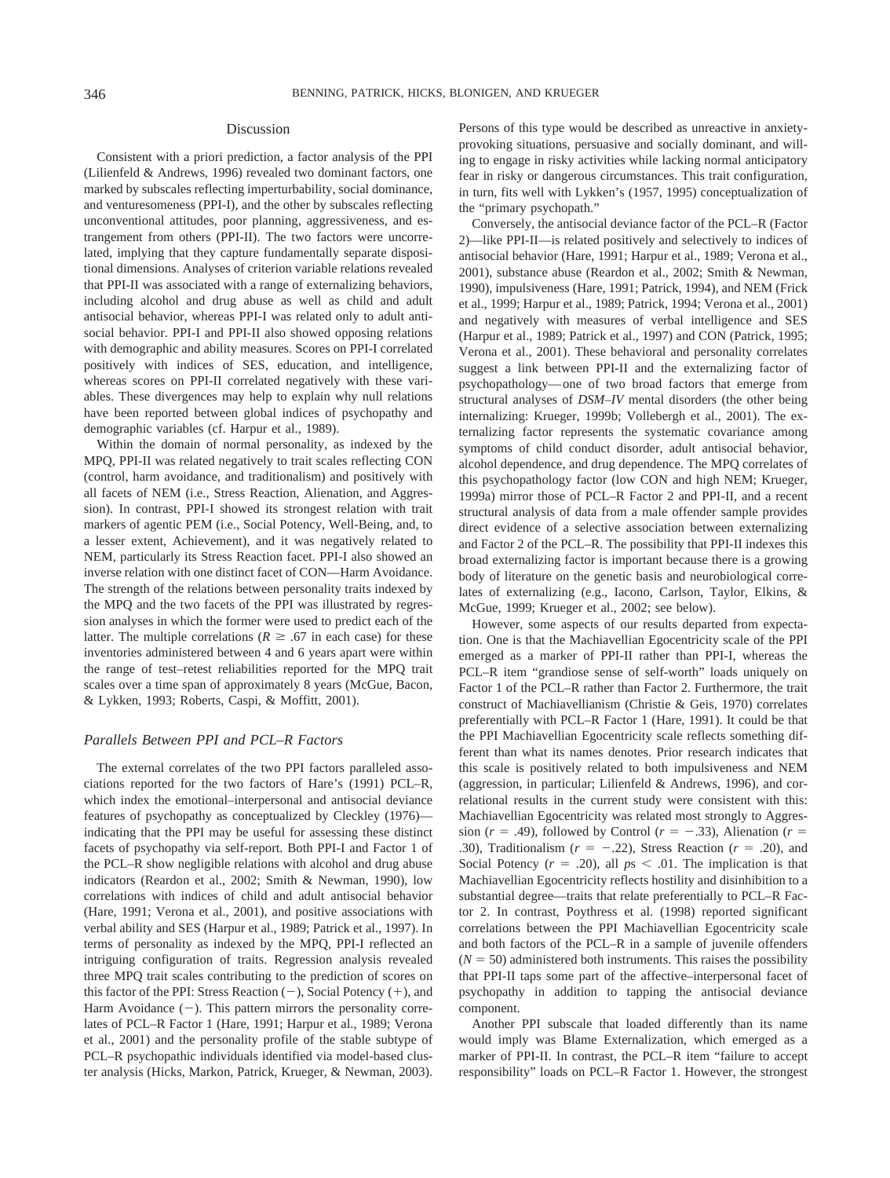#### Discussion

Consistent with a priori prediction, a factor analysis of the PPI (Lilienfeld & Andrews, 1996) revealed two dominant factors, one marked by subscales reflecting imperturbability, social dominance, and venturesomeness (PPI-I), and the other by subscales reflecting unconventional attitudes, poor planning, aggressiveness, and estrangement from others (PPI-II). The two factors were uncorrelated, implying that they capture fundamentally separate dispositional dimensions. Analyses of criterion variable relations revealed that PPI-II was associated with a range of externalizing behaviors, including alcohol and drug abuse as well as child and adult antisocial behavior, whereas PPI-I was related only to adult antisocial behavior. PPI-I and PPI-II also showed opposing relations with demographic and ability measures. Scores on PPI-I correlated positively with indices of SES, education, and intelligence, whereas scores on PPI-II correlated negatively with these variables. These divergences may help to explain why null relations have been reported between global indices of psychopathy and demographic variables (cf. Harpur et al., 1989).

Within the domain of normal personality, as indexed by the MPQ, PPI-II was related negatively to trait scales reflecting CON (control, harm avoidance, and traditionalism) and positively with all facets of NEM (i.e., Stress Reaction, Alienation, and Aggression). In contrast, PPI-I showed its strongest relation with trait markers of agentic PEM (i.e., Social Potency, Well-Being, and, to a lesser extent, Achievement), and it was negatively related to NEM, particularly its Stress Reaction facet. PPI-I also showed an inverse relation with one distinct facet of CON—Harm Avoidance. The strength of the relations between personality traits indexed by the MPQ and the two facets of the PPI was illustrated by regression analyses in which the former were used to predict each of the latter. The multiple correlations ( $R \geq .67$  in each case) for these inventories administered between 4 and 6 years apart were within the range of test–retest reliabilities reported for the MPQ trait scales over a time span of approximately 8 years (McGue, Bacon, & Lykken, 1993; Roberts, Caspi, & Moffitt, 2001).

#### *Parallels Between PPI and PCL–R Factors*

The external correlates of the two PPI factors paralleled associations reported for the two factors of Hare's (1991) PCL–R, which index the emotional–interpersonal and antisocial deviance features of psychopathy as conceptualized by Cleckley (1976) indicating that the PPI may be useful for assessing these distinct facets of psychopathy via self-report. Both PPI-I and Factor 1 of the PCL–R show negligible relations with alcohol and drug abuse indicators (Reardon et al., 2002; Smith & Newman, 1990), low correlations with indices of child and adult antisocial behavior (Hare, 1991; Verona et al., 2001), and positive associations with verbal ability and SES (Harpur et al., 1989; Patrick et al., 1997). In terms of personality as indexed by the MPQ, PPI-I reflected an intriguing configuration of traits. Regression analysis revealed three MPQ trait scales contributing to the prediction of scores on this factor of the PPI: Stress Reaction  $(-)$ , Social Potency  $(+)$ , and Harm Avoidance  $(-)$ . This pattern mirrors the personality correlates of PCL–R Factor 1 (Hare, 1991; Harpur et al., 1989; Verona et al., 2001) and the personality profile of the stable subtype of PCL–R psychopathic individuals identified via model-based cluster analysis (Hicks, Markon, Patrick, Krueger, & Newman, 2003).

Persons of this type would be described as unreactive in anxietyprovoking situations, persuasive and socially dominant, and willing to engage in risky activities while lacking normal anticipatory fear in risky or dangerous circumstances. This trait configuration, in turn, fits well with Lykken's (1957, 1995) conceptualization of the "primary psychopath."

Conversely, the antisocial deviance factor of the PCL–R (Factor 2)—like PPI-II—is related positively and selectively to indices of antisocial behavior (Hare, 1991; Harpur et al., 1989; Verona et al., 2001), substance abuse (Reardon et al., 2002; Smith & Newman, 1990), impulsiveness (Hare, 1991; Patrick, 1994), and NEM (Frick et al., 1999; Harpur et al., 1989; Patrick, 1994; Verona et al., 2001) and negatively with measures of verbal intelligence and SES (Harpur et al., 1989; Patrick et al., 1997) and CON (Patrick, 1995; Verona et al., 2001). These behavioral and personality correlates suggest a link between PPI-II and the externalizing factor of psychopathology—one of two broad factors that emerge from structural analyses of *DSM–IV* mental disorders (the other being internalizing: Krueger, 1999b; Vollebergh et al., 2001). The externalizing factor represents the systematic covariance among symptoms of child conduct disorder, adult antisocial behavior, alcohol dependence, and drug dependence. The MPQ correlates of this psychopathology factor (low CON and high NEM; Krueger, 1999a) mirror those of PCL–R Factor 2 and PPI-II, and a recent structural analysis of data from a male offender sample provides direct evidence of a selective association between externalizing and Factor 2 of the PCL–R. The possibility that PPI-II indexes this broad externalizing factor is important because there is a growing body of literature on the genetic basis and neurobiological correlates of externalizing (e.g., Iacono, Carlson, Taylor, Elkins, & McGue, 1999; Krueger et al., 2002; see below).

However, some aspects of our results departed from expectation. One is that the Machiavellian Egocentricity scale of the PPI emerged as a marker of PPI-II rather than PPI-I, whereas the PCL–R item "grandiose sense of self-worth" loads uniquely on Factor 1 of the PCL–R rather than Factor 2. Furthermore, the trait construct of Machiavellianism (Christie & Geis, 1970) correlates preferentially with PCL–R Factor 1 (Hare, 1991). It could be that the PPI Machiavellian Egocentricity scale reflects something different than what its names denotes. Prior research indicates that this scale is positively related to both impulsiveness and NEM (aggression, in particular; Lilienfeld & Andrews, 1996), and correlational results in the current study were consistent with this: Machiavellian Egocentricity was related most strongly to Aggression ( $r = .49$ ), followed by Control ( $r = -.33$ ), Alienation ( $r =$ .30), Traditionalism  $(r = -.22)$ , Stress Reaction  $(r = .20)$ , and Social Potency  $(r = .20)$ , all  $ps < .01$ . The implication is that Machiavellian Egocentricity reflects hostility and disinhibition to a substantial degree—traits that relate preferentially to PCL–R Factor 2. In contrast, Poythress et al. (1998) reported significant correlations between the PPI Machiavellian Egocentricity scale and both factors of the PCL–R in a sample of juvenile offenders  $(N = 50)$  administered both instruments. This raises the possibility that PPI-II taps some part of the affective–interpersonal facet of psychopathy in addition to tapping the antisocial deviance component.

Another PPI subscale that loaded differently than its name would imply was Blame Externalization, which emerged as a marker of PPI-II. In contrast, the PCL–R item "failure to accept responsibility" loads on PCL–R Factor 1. However, the strongest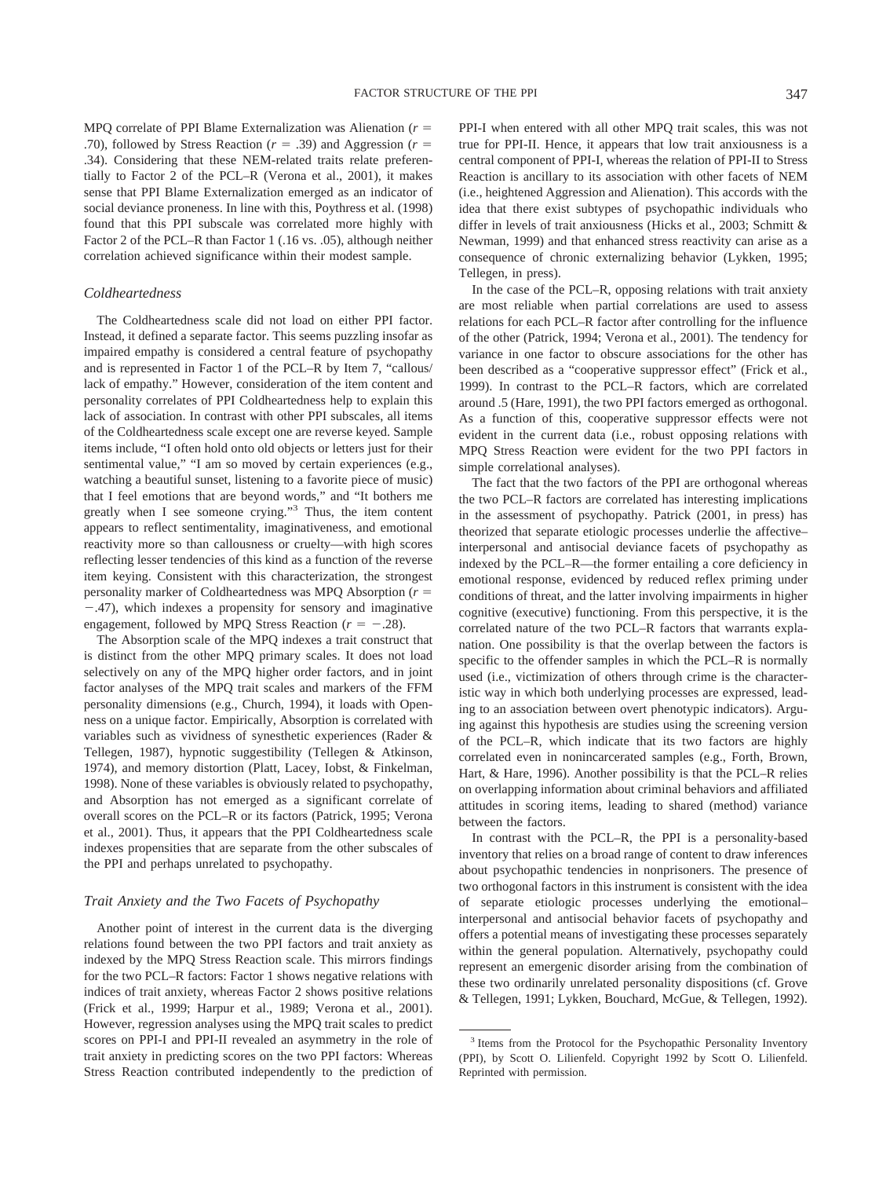MPQ correlate of PPI Blame Externalization was Alienation (*r* .70), followed by Stress Reaction ( $r = .39$ ) and Aggression ( $r = .39$ ) .34). Considering that these NEM-related traits relate preferentially to Factor 2 of the PCL–R (Verona et al., 2001), it makes sense that PPI Blame Externalization emerged as an indicator of social deviance proneness. In line with this, Poythress et al. (1998) found that this PPI subscale was correlated more highly with Factor 2 of the PCL–R than Factor 1 (.16 vs. .05), although neither correlation achieved significance within their modest sample.

### *Coldheartedness*

The Coldheartedness scale did not load on either PPI factor. Instead, it defined a separate factor. This seems puzzling insofar as impaired empathy is considered a central feature of psychopathy and is represented in Factor 1 of the PCL–R by Item 7, "callous/ lack of empathy." However, consideration of the item content and personality correlates of PPI Coldheartedness help to explain this lack of association. In contrast with other PPI subscales, all items of the Coldheartedness scale except one are reverse keyed. Sample items include, "I often hold onto old objects or letters just for their sentimental value," "I am so moved by certain experiences (e.g., watching a beautiful sunset, listening to a favorite piece of music) that I feel emotions that are beyond words," and "It bothers me greatly when I see someone crying."3 Thus, the item content appears to reflect sentimentality, imaginativeness, and emotional reactivity more so than callousness or cruelty—with high scores reflecting lesser tendencies of this kind as a function of the reverse item keying. Consistent with this characterization, the strongest personality marker of Coldheartedness was MPQ Absorption (*r* -.47), which indexes a propensity for sensory and imaginative engagement, followed by MPQ Stress Reaction  $(r = -.28)$ .

The Absorption scale of the MPQ indexes a trait construct that is distinct from the other MPQ primary scales. It does not load selectively on any of the MPQ higher order factors, and in joint factor analyses of the MPQ trait scales and markers of the FFM personality dimensions (e.g., Church, 1994), it loads with Openness on a unique factor. Empirically, Absorption is correlated with variables such as vividness of synesthetic experiences (Rader & Tellegen, 1987), hypnotic suggestibility (Tellegen & Atkinson, 1974), and memory distortion (Platt, Lacey, Iobst, & Finkelman, 1998). None of these variables is obviously related to psychopathy, and Absorption has not emerged as a significant correlate of overall scores on the PCL–R or its factors (Patrick, 1995; Verona et al., 2001). Thus, it appears that the PPI Coldheartedness scale indexes propensities that are separate from the other subscales of the PPI and perhaps unrelated to psychopathy.

# *Trait Anxiety and the Two Facets of Psychopathy*

Another point of interest in the current data is the diverging relations found between the two PPI factors and trait anxiety as indexed by the MPQ Stress Reaction scale. This mirrors findings for the two PCL–R factors: Factor 1 shows negative relations with indices of trait anxiety, whereas Factor 2 shows positive relations (Frick et al., 1999; Harpur et al., 1989; Verona et al., 2001). However, regression analyses using the MPQ trait scales to predict scores on PPI-I and PPI-II revealed an asymmetry in the role of trait anxiety in predicting scores on the two PPI factors: Whereas Stress Reaction contributed independently to the prediction of PPI-I when entered with all other MPQ trait scales, this was not true for PPI-II. Hence, it appears that low trait anxiousness is a central component of PPI-I, whereas the relation of PPI-II to Stress Reaction is ancillary to its association with other facets of NEM (i.e., heightened Aggression and Alienation). This accords with the idea that there exist subtypes of psychopathic individuals who differ in levels of trait anxiousness (Hicks et al., 2003; Schmitt & Newman, 1999) and that enhanced stress reactivity can arise as a consequence of chronic externalizing behavior (Lykken, 1995; Tellegen, in press).

In the case of the PCL–R, opposing relations with trait anxiety are most reliable when partial correlations are used to assess relations for each PCL–R factor after controlling for the influence of the other (Patrick, 1994; Verona et al., 2001). The tendency for variance in one factor to obscure associations for the other has been described as a "cooperative suppressor effect" (Frick et al., 1999). In contrast to the PCL–R factors, which are correlated around .5 (Hare, 1991), the two PPI factors emerged as orthogonal. As a function of this, cooperative suppressor effects were not evident in the current data (i.e., robust opposing relations with MPQ Stress Reaction were evident for the two PPI factors in simple correlational analyses).

The fact that the two factors of the PPI are orthogonal whereas the two PCL–R factors are correlated has interesting implications in the assessment of psychopathy. Patrick (2001, in press) has theorized that separate etiologic processes underlie the affective– interpersonal and antisocial deviance facets of psychopathy as indexed by the PCL–R—the former entailing a core deficiency in emotional response, evidenced by reduced reflex priming under conditions of threat, and the latter involving impairments in higher cognitive (executive) functioning. From this perspective, it is the correlated nature of the two PCL–R factors that warrants explanation. One possibility is that the overlap between the factors is specific to the offender samples in which the PCL–R is normally used (i.e., victimization of others through crime is the characteristic way in which both underlying processes are expressed, leading to an association between overt phenotypic indicators). Arguing against this hypothesis are studies using the screening version of the PCL–R, which indicate that its two factors are highly correlated even in nonincarcerated samples (e.g., Forth, Brown, Hart, & Hare, 1996). Another possibility is that the PCL–R relies on overlapping information about criminal behaviors and affiliated attitudes in scoring items, leading to shared (method) variance between the factors.

In contrast with the PCL–R, the PPI is a personality-based inventory that relies on a broad range of content to draw inferences about psychopathic tendencies in nonprisoners. The presence of two orthogonal factors in this instrument is consistent with the idea of separate etiologic processes underlying the emotional– interpersonal and antisocial behavior facets of psychopathy and offers a potential means of investigating these processes separately within the general population. Alternatively, psychopathy could represent an emergenic disorder arising from the combination of these two ordinarily unrelated personality dispositions (cf. Grove & Tellegen, 1991; Lykken, Bouchard, McGue, & Tellegen, 1992).

<sup>&</sup>lt;sup>3</sup> Items from the Protocol for the Psychopathic Personality Inventory (PPI), by Scott O. Lilienfeld. Copyright 1992 by Scott O. Lilienfeld. Reprinted with permission.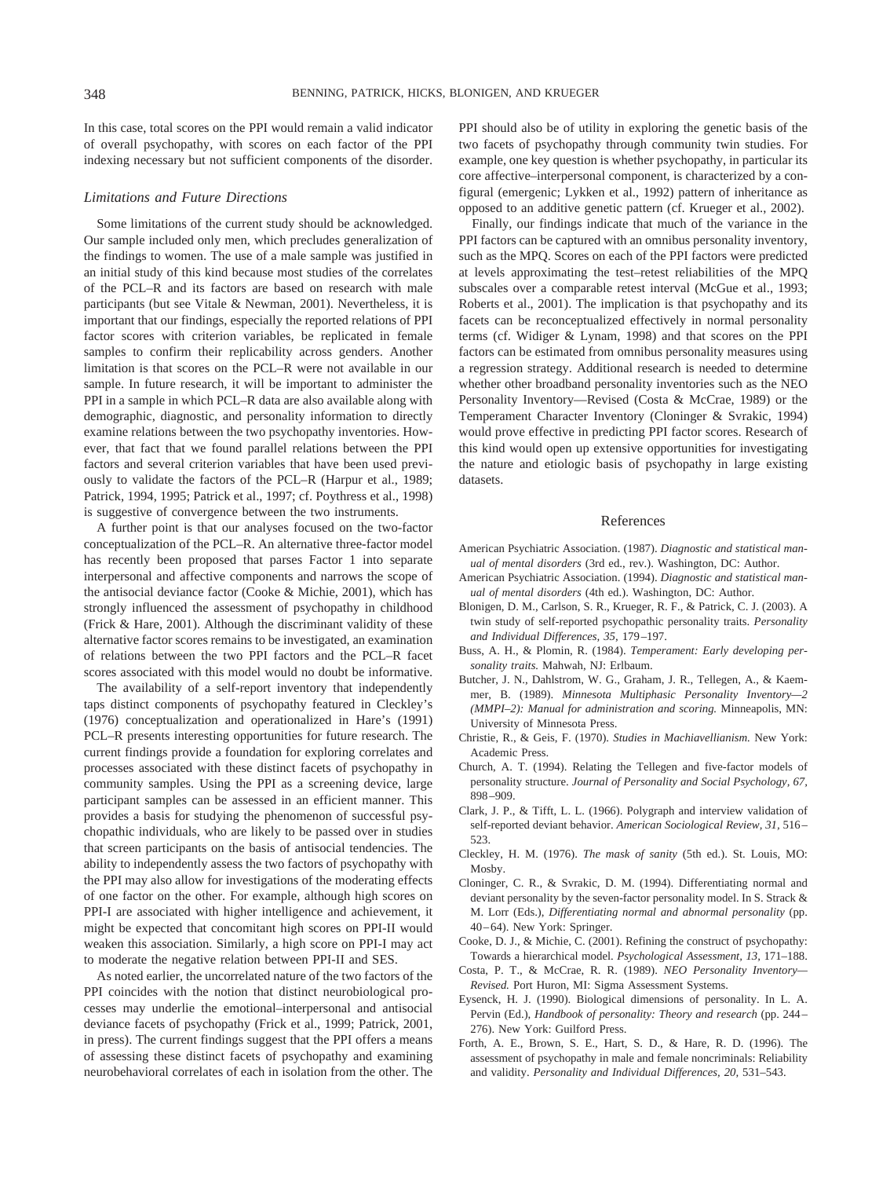In this case, total scores on the PPI would remain a valid indicator of overall psychopathy, with scores on each factor of the PPI indexing necessary but not sufficient components of the disorder.

#### *Limitations and Future Directions*

Some limitations of the current study should be acknowledged. Our sample included only men, which precludes generalization of the findings to women. The use of a male sample was justified in an initial study of this kind because most studies of the correlates of the PCL–R and its factors are based on research with male participants (but see Vitale & Newman, 2001). Nevertheless, it is important that our findings, especially the reported relations of PPI factor scores with criterion variables, be replicated in female samples to confirm their replicability across genders. Another limitation is that scores on the PCL–R were not available in our sample. In future research, it will be important to administer the PPI in a sample in which PCL–R data are also available along with demographic, diagnostic, and personality information to directly examine relations between the two psychopathy inventories. However, that fact that we found parallel relations between the PPI factors and several criterion variables that have been used previously to validate the factors of the PCL–R (Harpur et al., 1989; Patrick, 1994, 1995; Patrick et al., 1997; cf. Poythress et al., 1998) is suggestive of convergence between the two instruments.

A further point is that our analyses focused on the two-factor conceptualization of the PCL–R. An alternative three-factor model has recently been proposed that parses Factor 1 into separate interpersonal and affective components and narrows the scope of the antisocial deviance factor (Cooke & Michie, 2001), which has strongly influenced the assessment of psychopathy in childhood (Frick & Hare, 2001). Although the discriminant validity of these alternative factor scores remains to be investigated, an examination of relations between the two PPI factors and the PCL–R facet scores associated with this model would no doubt be informative.

The availability of a self-report inventory that independently taps distinct components of psychopathy featured in Cleckley's (1976) conceptualization and operationalized in Hare's (1991) PCL–R presents interesting opportunities for future research. The current findings provide a foundation for exploring correlates and processes associated with these distinct facets of psychopathy in community samples. Using the PPI as a screening device, large participant samples can be assessed in an efficient manner. This provides a basis for studying the phenomenon of successful psychopathic individuals, who are likely to be passed over in studies that screen participants on the basis of antisocial tendencies. The ability to independently assess the two factors of psychopathy with the PPI may also allow for investigations of the moderating effects of one factor on the other. For example, although high scores on PPI-I are associated with higher intelligence and achievement, it might be expected that concomitant high scores on PPI-II would weaken this association. Similarly, a high score on PPI-I may act to moderate the negative relation between PPI-II and SES.

As noted earlier, the uncorrelated nature of the two factors of the PPI coincides with the notion that distinct neurobiological processes may underlie the emotional–interpersonal and antisocial deviance facets of psychopathy (Frick et al., 1999; Patrick, 2001, in press). The current findings suggest that the PPI offers a means of assessing these distinct facets of psychopathy and examining neurobehavioral correlates of each in isolation from the other. The

PPI should also be of utility in exploring the genetic basis of the two facets of psychopathy through community twin studies. For example, one key question is whether psychopathy, in particular its core affective–interpersonal component, is characterized by a configural (emergenic; Lykken et al., 1992) pattern of inheritance as opposed to an additive genetic pattern (cf. Krueger et al., 2002).

Finally, our findings indicate that much of the variance in the PPI factors can be captured with an omnibus personality inventory, such as the MPQ. Scores on each of the PPI factors were predicted at levels approximating the test–retest reliabilities of the MPQ subscales over a comparable retest interval (McGue et al., 1993; Roberts et al., 2001). The implication is that psychopathy and its facets can be reconceptualized effectively in normal personality terms (cf. Widiger & Lynam, 1998) and that scores on the PPI factors can be estimated from omnibus personality measures using a regression strategy. Additional research is needed to determine whether other broadband personality inventories such as the NEO Personality Inventory—Revised (Costa & McCrae, 1989) or the Temperament Character Inventory (Cloninger & Svrakic, 1994) would prove effective in predicting PPI factor scores. Research of this kind would open up extensive opportunities for investigating the nature and etiologic basis of psychopathy in large existing datasets.

#### References

- American Psychiatric Association. (1987). *Diagnostic and statistical manual of mental disorders* (3rd ed., rev.). Washington, DC: Author.
- American Psychiatric Association. (1994). *Diagnostic and statistical manual of mental disorders* (4th ed.). Washington, DC: Author.
- Blonigen, D. M., Carlson, S. R., Krueger, R. F., & Patrick, C. J. (2003). A twin study of self-reported psychopathic personality traits. *Personality and Individual Differences, 35,* 179–197.
- Buss, A. H., & Plomin, R. (1984). *Temperament: Early developing personality traits.* Mahwah, NJ: Erlbaum.
- Butcher, J. N., Dahlstrom, W. G., Graham, J. R., Tellegen, A., & Kaemmer, B. (1989). *Minnesota Multiphasic Personality Inventory—2 (MMPI–2): Manual for administration and scoring.* Minneapolis, MN: University of Minnesota Press.
- Christie, R., & Geis, F. (1970). *Studies in Machiavellianism.* New York: Academic Press.
- Church, A. T. (1994). Relating the Tellegen and five-factor models of personality structure. *Journal of Personality and Social Psychology, 67,* 898–909.
- Clark, J. P., & Tifft, L. L. (1966). Polygraph and interview validation of self-reported deviant behavior. *American Sociological Review, 31,* 516– 523.
- Cleckley, H. M. (1976). *The mask of sanity* (5th ed.). St. Louis, MO: Mosby.
- Cloninger, C. R., & Svrakic, D. M. (1994). Differentiating normal and deviant personality by the seven-factor personality model. In S. Strack & M. Lorr (Eds.), *Differentiating normal and abnormal personality* (pp. 40–64). New York: Springer.
- Cooke, D. J., & Michie, C. (2001). Refining the construct of psychopathy: Towards a hierarchical model. *Psychological Assessment, 13,* 171–188.
- Costa, P. T., & McCrae, R. R. (1989). *NEO Personality Inventory— Revised.* Port Huron, MI: Sigma Assessment Systems.
- Eysenck, H. J. (1990). Biological dimensions of personality. In L. A. Pervin (Ed.), *Handbook of personality: Theory and research* (pp. 244– 276). New York: Guilford Press.
- Forth, A. E., Brown, S. E., Hart, S. D., & Hare, R. D. (1996). The assessment of psychopathy in male and female noncriminals: Reliability and validity. *Personality and Individual Differences, 20,* 531–543.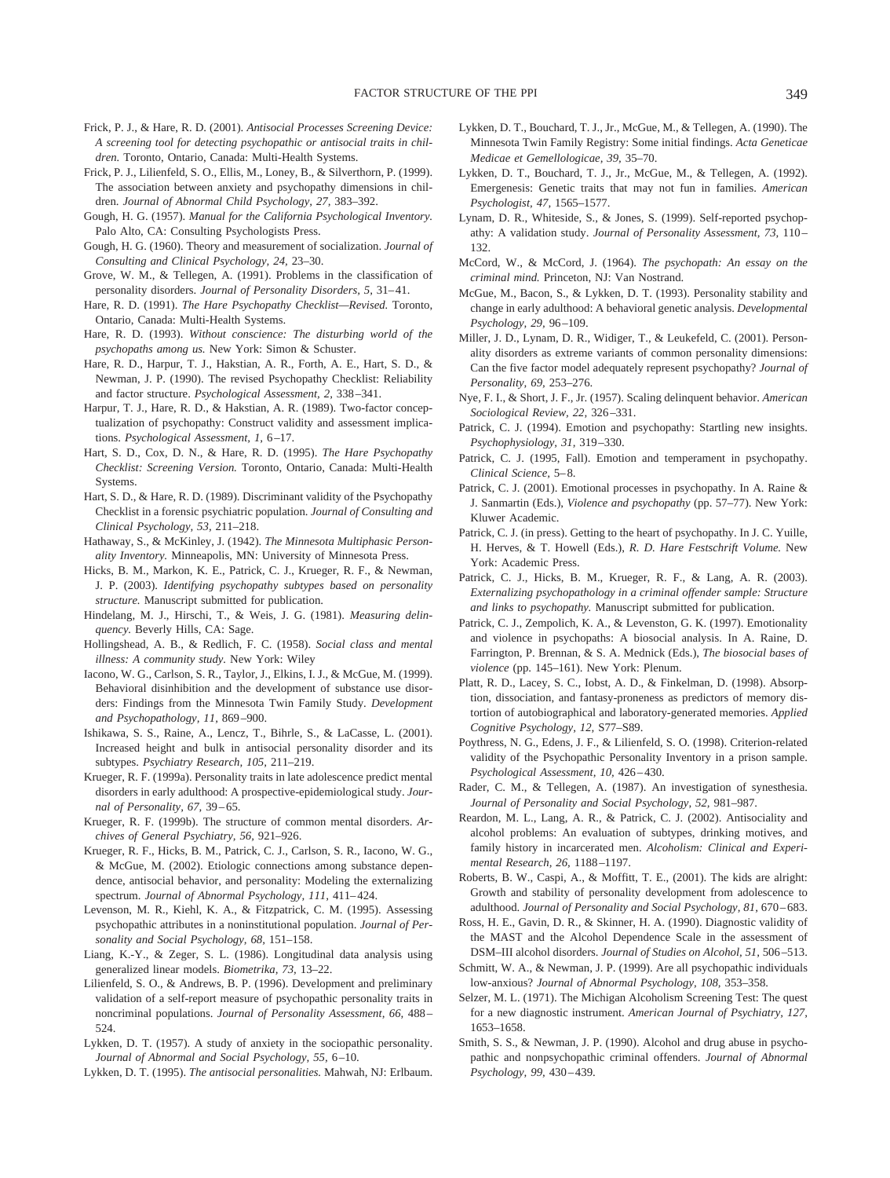- Frick, P. J., & Hare, R. D. (2001). *Antisocial Processes Screening Device: A screening tool for detecting psychopathic or antisocial traits in children.* Toronto, Ontario, Canada: Multi-Health Systems.
- Frick, P. J., Lilienfeld, S. O., Ellis, M., Loney, B., & Silverthorn, P. (1999). The association between anxiety and psychopathy dimensions in children. *Journal of Abnormal Child Psychology, 27,* 383–392.
- Gough, H. G. (1957). *Manual for the California Psychological Inventory.* Palo Alto, CA: Consulting Psychologists Press.
- Gough, H. G. (1960). Theory and measurement of socialization. *Journal of Consulting and Clinical Psychology, 24,* 23–30.
- Grove, W. M., & Tellegen, A. (1991). Problems in the classification of personality disorders. *Journal of Personality Disorders, 5,* 31–41.
- Hare, R. D. (1991). *The Hare Psychopathy Checklist—Revised.* Toronto, Ontario, Canada: Multi-Health Systems.
- Hare, R. D. (1993). *Without conscience: The disturbing world of the psychopaths among us.* New York: Simon & Schuster.
- Hare, R. D., Harpur, T. J., Hakstian, A. R., Forth, A. E., Hart, S. D., & Newman, J. P. (1990). The revised Psychopathy Checklist: Reliability and factor structure. *Psychological Assessment, 2,* 338–341.
- Harpur, T. J., Hare, R. D., & Hakstian, A. R. (1989). Two-factor conceptualization of psychopathy: Construct validity and assessment implications. *Psychological Assessment, 1,* 6–17.
- Hart, S. D., Cox, D. N., & Hare, R. D. (1995). *The Hare Psychopathy Checklist: Screening Version.* Toronto, Ontario, Canada: Multi-Health Systems.
- Hart, S. D., & Hare, R. D. (1989). Discriminant validity of the Psychopathy Checklist in a forensic psychiatric population. *Journal of Consulting and Clinical Psychology, 53,* 211–218.
- Hathaway, S., & McKinley, J. (1942). *The Minnesota Multiphasic Personality Inventory.* Minneapolis, MN: University of Minnesota Press.
- Hicks, B. M., Markon, K. E., Patrick, C. J., Krueger, R. F., & Newman, J. P. (2003). *Identifying psychopathy subtypes based on personality structure.* Manuscript submitted for publication.
- Hindelang, M. J., Hirschi, T., & Weis, J. G. (1981). *Measuring delinquency.* Beverly Hills, CA: Sage.
- Hollingshead, A. B., & Redlich, F. C. (1958). *Social class and mental illness: A community study.* New York: Wiley
- Iacono, W. G., Carlson, S. R., Taylor, J., Elkins, I. J., & McGue, M. (1999). Behavioral disinhibition and the development of substance use disorders: Findings from the Minnesota Twin Family Study. *Development and Psychopathology, 11,* 869–900.
- Ishikawa, S. S., Raine, A., Lencz, T., Bihrle, S., & LaCasse, L. (2001). Increased height and bulk in antisocial personality disorder and its subtypes. *Psychiatry Research, 105,* 211–219.
- Krueger, R. F. (1999a). Personality traits in late adolescence predict mental disorders in early adulthood: A prospective-epidemiological study. *Journal of Personality, 67,* 39–65.
- Krueger, R. F. (1999b). The structure of common mental disorders. *Archives of General Psychiatry, 56,* 921–926.
- Krueger, R. F., Hicks, B. M., Patrick, C. J., Carlson, S. R., Iacono, W. G., & McGue, M. (2002). Etiologic connections among substance dependence, antisocial behavior, and personality: Modeling the externalizing spectrum. *Journal of Abnormal Psychology, 111,* 411–424.
- Levenson, M. R., Kiehl, K. A., & Fitzpatrick, C. M. (1995). Assessing psychopathic attributes in a noninstitutional population. *Journal of Personality and Social Psychology, 68,* 151–158.
- Liang, K.-Y., & Zeger, S. L. (1986). Longitudinal data analysis using generalized linear models. *Biometrika, 73,* 13–22.
- Lilienfeld, S. O., & Andrews, B. P. (1996). Development and preliminary validation of a self-report measure of psychopathic personality traits in noncriminal populations. *Journal of Personality Assessment, 66,* 488– 524.
- Lykken, D. T. (1957). A study of anxiety in the sociopathic personality. *Journal of Abnormal and Social Psychology, 55,* 6–10.
- Lykken, D. T. (1995). *The antisocial personalities.* Mahwah, NJ: Erlbaum.
- Lykken, D. T., Bouchard, T. J., Jr., McGue, M., & Tellegen, A. (1990). The Minnesota Twin Family Registry: Some initial findings. *Acta Geneticae Medicae et Gemellologicae, 39,* 35–70.
- Lykken, D. T., Bouchard, T. J., Jr., McGue, M., & Tellegen, A. (1992). Emergenesis: Genetic traits that may not fun in families. *American Psychologist, 47,* 1565–1577.
- Lynam, D. R., Whiteside, S., & Jones, S. (1999). Self-reported psychopathy: A validation study. *Journal of Personality Assessment, 73,* 110– 132.
- McCord, W., & McCord, J. (1964). *The psychopath: An essay on the criminal mind.* Princeton, NJ: Van Nostrand.
- McGue, M., Bacon, S., & Lykken, D. T. (1993). Personality stability and change in early adulthood: A behavioral genetic analysis. *Developmental Psychology, 29,* 96–109.
- Miller, J. D., Lynam, D. R., Widiger, T., & Leukefeld, C. (2001). Personality disorders as extreme variants of common personality dimensions: Can the five factor model adequately represent psychopathy? *Journal of Personality, 69,* 253–276.
- Nye, F. I., & Short, J. F., Jr. (1957). Scaling delinquent behavior. *American Sociological Review, 22,* 326–331.
- Patrick, C. J. (1994). Emotion and psychopathy: Startling new insights. *Psychophysiology, 31,* 319–330.
- Patrick, C. J. (1995, Fall). Emotion and temperament in psychopathy. *Clinical Science,* 5–8.
- Patrick, C. J. (2001). Emotional processes in psychopathy. In A. Raine & J. Sanmartin (Eds.), *Violence and psychopathy* (pp. 57–77). New York: Kluwer Academic.
- Patrick, C. J. (in press). Getting to the heart of psychopathy. In J. C. Yuille, H. Herves, & T. Howell (Eds.), *R. D. Hare Festschrift Volume.* New York: Academic Press.
- Patrick, C. J., Hicks, B. M., Krueger, R. F., & Lang, A. R. (2003). *Externalizing psychopathology in a criminal offender sample: Structure and links to psychopathy.* Manuscript submitted for publication.
- Patrick, C. J., Zempolich, K. A., & Levenston, G. K. (1997). Emotionality and violence in psychopaths: A biosocial analysis. In A. Raine, D. Farrington, P. Brennan, & S. A. Mednick (Eds.), *The biosocial bases of violence* (pp. 145–161). New York: Plenum.
- Platt, R. D., Lacey, S. C., Iobst, A. D., & Finkelman, D. (1998). Absorption, dissociation, and fantasy-proneness as predictors of memory distortion of autobiographical and laboratory-generated memories. *Applied Cognitive Psychology, 12,* S77–S89.
- Poythress, N. G., Edens, J. F., & Lilienfeld, S. O. (1998). Criterion-related validity of the Psychopathic Personality Inventory in a prison sample. *Psychological Assessment, 10,* 426–430.
- Rader, C. M., & Tellegen, A. (1987). An investigation of synesthesia. *Journal of Personality and Social Psychology, 52,* 981–987.
- Reardon, M. L., Lang, A. R., & Patrick, C. J. (2002). Antisociality and alcohol problems: An evaluation of subtypes, drinking motives, and family history in incarcerated men. *Alcoholism: Clinical and Experimental Research, 26,* 1188–1197.
- Roberts, B. W., Caspi, A., & Moffitt, T. E., (2001). The kids are alright: Growth and stability of personality development from adolescence to adulthood. *Journal of Personality and Social Psychology, 81,* 670–683.
- Ross, H. E., Gavin, D. R., & Skinner, H. A. (1990). Diagnostic validity of the MAST and the Alcohol Dependence Scale in the assessment of DSM–III alcohol disorders. *Journal of Studies on Alcohol, 51,* 506–513.
- Schmitt, W. A., & Newman, J. P. (1999). Are all psychopathic individuals low-anxious? *Journal of Abnormal Psychology, 108,* 353–358.
- Selzer, M. L. (1971). The Michigan Alcoholism Screening Test: The quest for a new diagnostic instrument. *American Journal of Psychiatry, 127,* 1653–1658.
- Smith, S. S., & Newman, J. P. (1990). Alcohol and drug abuse in psychopathic and nonpsychopathic criminal offenders. *Journal of Abnormal Psychology, 99,* 430–439.